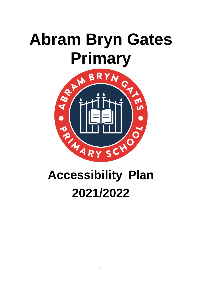# **Abram Bryn Gates**



# **Accessibility Plan 2021/2022**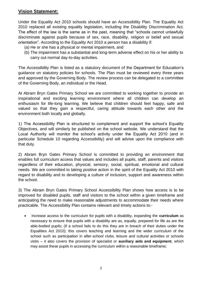#### **Vision Statement:**

Under the Equality Act 2010 schools should have an Accessibility Plan. The Equality Act 2010 replaced all existing equality legislation, including the Disability Discrimination Act. The effect of the law is the same as in the past, meaning that "schools cannot unlawfully discriminate against pupils because of sex, race, disability, religion or belief and sexual orientation". According to the Equality Act 2010 a person has a disability if:

- (a) He or she has a physical or mental impairment, and
- (b) The impairment has a substantial and long-term adverse effect on his or her ability to carry out normal day-to-day activities.

The Accessibility Plan is listed as a statutory document of the Department for Education's guidance on statutory policies for schools. The Plan must be reviewed every three years and approved by the Governing Body. The review process can be delegated to a committee of the Governing Body, an individual or the Head.

At Abram Bryn Gates Primary School we are committed to working together to provide an inspirational and exciting learning environment where all children can develop an enthusiasm for life-long learning. We believe that children should feel happy, safe and valued so that they gain a respectful, caring attitude towards each other and the environment both locally and globally.

1) The Accessibility Plan is structured to complement and support the school's Equality Objectives, and will similarly be published on the school website. We understand that the Local Authority will monitor the school's activity under the Equality Act 2010 (and in particular Schedule 10 regarding Accessibility) and will advise upon the compliance with that duty.

2) Abram Bryn Gates Primary School is committed to providing an environment that enables full curriculum access that values and includes all pupils, staff, parents and visitors regardless of their education, physical, sensory, social, spiritual, emotional and cultural needs. We are committed to taking positive action in the spirit of the Equality Act 2010 with regard to disability and to developing a culture of inclusion, support and awareness within the school.

3) The Abram Bryn Gates Primary School Accessibility Plan shows how access is to be improved for disabled pupils, staff and visitors to the school within a given timeframe and anticipating the need to make reasonable adjustments to accommodate their needs where practicable. The Accessibility Plan contains relevant and timely actions to:-

• Increase access to the curriculum for pupils with a disability, expanding the **curriculum** as necessary to ensure that pupils with a disability are as, equally, prepared for life as are the able-bodied pupils; (If a school fails to do this they are in breach of their duties under the Equalities Act 2010); this covers teaching and learning and the wider curriculum of the school such as participation in after-school clubs, leisure and cultural activities or schools visits – it also covers the provision of specialist or **auxiliary aids and equipment**, which may assist these pupils in accessing the curriculum within a reasonable timeframe;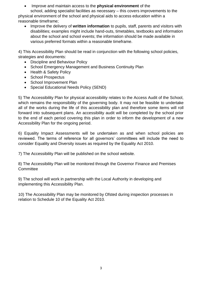• Improve and maintain access to the **physical environment** of the

school, adding specialist facilities as necessary – this covers improvements to the physical environment of the school and physical aids to access education within a reasonable timeframe;

• Improve the delivery of **written information** to pupils, staff, parents and visitors with disabilities; examples might include hand-outs, timetables, textbooks and information about the school and school events; the information should be made available in various preferred formats within a reasonable timeframe.

4) This Accessibility Plan should be read in conjunction with the following school policies, strategies and documents:

- Discipline and Behaviour Policy
- School Emergency Management and Business Continuity Plan
- Health & Safety Policy
- School Prospectus
- School Improvement Plan
- Special Educational Needs Policy (SEND)

5) The Accessibility Plan for physical accessibility relates to the Access Audit of the School, which remains the responsibility of the governing body. It may not be feasible to undertake all of the works during the life of this accessibility plan and therefore some items will roll forward into subsequent plans. An accessibility audit will be completed by the school prior to the end of each period covering this plan in order to inform the development of a new Accessibility Plan for the ongoing period.

6) Equality Impact Assessments will be undertaken as and when school policies are reviewed. The terms of reference for all governors' committees will include the need to consider Equality and Diversity issues as required by the Equality Act 2010.

7) The Accessibility Plan will be published on the school website.

8) The Accessibility Plan will be monitored through the Governor Finance and Premises **Committee** 

9) The school will work in partnership with the Local Authority in developing and implementing this Accessibility Plan.

10) The Accessibility Plan may be monitored by Ofsted during inspection processes in relation to Schedule 10 of the Equality Act 2010.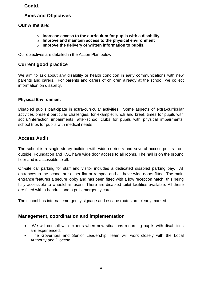#### **Contd.**

#### **Aims and Objectives**

#### **Our Aims are:**

- o **Increase access to the curriculum for pupils with a disability,**
- o **Improve and maintain access to the physical environment**
- o **Improve the delivery of written information to pupils,**

Our objectives are detailed in the Action Plan below

#### **Current good practice**

We aim to ask about any disability or health condition in early communications with new parents and carers. For parents and carers of children already at the school, we collect information on disability.

#### **Physical Environment**

Disabled pupils participate in extra-curricular activities. Some aspects of extra-curricular activities present particular challenges, for example: lunch and break times for pupils with social/interaction impairments, after-school clubs for pupils with physical impairments, school trips for pupils with medical needs.

#### **Access Audit**

The school is a single storey building with wide corridors and several access points from outside. Foundation and KS1 have wide door access to all rooms. The hall is on the ground floor and is accessible to all.

On-site car parking for staff and visitor includes a dedicated disabled parking bay. All entrances to the school are either flat or ramped and all have wide doors fitted. The main entrance features a secure lobby and has been fitted with a low reception hatch, this being fully accessible to wheelchair users. There are disabled toilet facilities available. All these are fitted with a handrail and a pull emergency cord.

The school has internal emergency signage and escape routes are clearly marked.

#### **Management, coordination and implementation**

- We will consult with experts when new situations regarding pupils with disabilities are experienced.
- The Governors and Senior Leadership Team will work closely with the Local Authority and Diocese.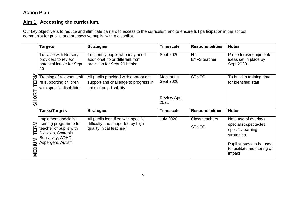#### **Action Plan**

#### **Aim 1 Accessing the curriculum.**

Our key objective is to reduce and eliminate barriers to access to the curriculum and to ensure full participation in the school community for pupils, and prospective pupils, with a disability.

|                      | <b>Targets</b>                                                                                                                            | <b>Strategies</b>                                                                                       | <b>Timescale</b>            | <b>Responsibilities</b>        | <b>Notes</b>                                                                                                    |
|----------------------|-------------------------------------------------------------------------------------------------------------------------------------------|---------------------------------------------------------------------------------------------------------|-----------------------------|--------------------------------|-----------------------------------------------------------------------------------------------------------------|
| <b>NB</b><br>Ë       | To liaise with Nursery<br>providers to review<br>potential intake for Sept<br>20                                                          | To identify pupils who may need<br>additional to or different from<br>provision for Sept 20 Intake      | Sept 2020                   | HT<br><b>EYFS teacher</b>      | Procedures/equipment/<br>ideas set in place by<br>Sept 2020.                                                    |
|                      | Training of relevant staff<br>re supporting children<br>with specific disabilities                                                        | All pupils provided with appropriate<br>support and challenge to progress in<br>spite of any disability | Monitoring<br>Sept 2020     | <b>SENCO</b>                   | To build in training dates<br>for identified staff                                                              |
| <b>SHORT</b>         |                                                                                                                                           |                                                                                                         | <b>Review April</b><br>2021 |                                |                                                                                                                 |
|                      | Tasks/Targets                                                                                                                             | <b>Strategies</b>                                                                                       | <b>Timescale</b>            | <b>Responsibilities</b>        | <b>Notes</b>                                                                                                    |
| Σ<br><b>TER</b><br>Σ | Implement specialist<br>training programme for<br>teacher of pupils with<br>Dyslexia, Scotopic<br>Sensitivity, ADHD,<br>Aspergers, Autism | All pupils identified with specific<br>difficulty and supported by high<br>quality initial teaching     | <b>July 2020</b>            | Class teachers<br><b>SENCO</b> | Note use of overlays.<br>specialist spectacles,<br>specific learning<br>strategies.<br>Pupil surveys to be used |
| MEDIU                |                                                                                                                                           |                                                                                                         |                             |                                | to facilitate monitoring of<br>impact                                                                           |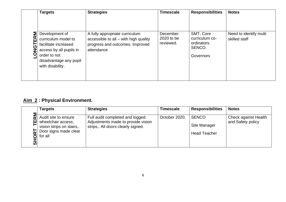|                     | <b>Targets</b>                                                                                                                       | <b>Strategies</b>                                                                      | <b>Timescale</b>        | <b>Responsibilities</b>                              | <b>Notes</b>           |
|---------------------|--------------------------------------------------------------------------------------------------------------------------------------|----------------------------------------------------------------------------------------|-------------------------|------------------------------------------------------|------------------------|
| Σ<br>œ              | Development of                                                                                                                       | A fully appropriate curriculum                                                         | December                | SMT, Core                                            | Need to identify multi |
| 冚<br>$\overline{5}$ | curriculum model to<br>facilitate increased<br>access by all pupils in<br>order to not<br>disadvantage any pupil<br>with disability. | accessible to all – with high quality<br>progress and outcomes. Improved<br>attendance | 2020 to be<br>reviewed. | curriculum co-<br>ordinators.<br>SENCO.<br>Governors | skilled staff          |

## **Aim 2 : Physical Environment.**

|    | <b>Targets</b>                                                                                              | <b>Strategies</b>                                                                                            | <b>Timescale</b> | <b>Responsibilities</b>                             | <b>Notes</b>                              |
|----|-------------------------------------------------------------------------------------------------------------|--------------------------------------------------------------------------------------------------------------|------------------|-----------------------------------------------------|-------------------------------------------|
| ົທ | Audit site to ensure<br>wheelchair access,<br>vision strips on stairs,.<br>Door signs made clear<br>for all | Full audit completed and logged.<br>Adjustments made to provide vision<br>strips,. All doors clearly signed. | October 2020.    | <b>SENCO</b><br>Site Manager<br><b>Head Teacher</b> | Check against Health<br>and Safety policy |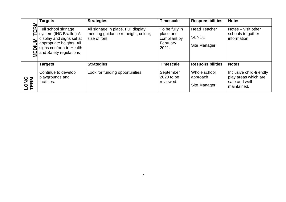| Σ            | <b>Targets</b>                                                                                                                                               | <b>Strategies</b>                                                                          | <b>Timescale</b>                                                 | <b>Responsibilities</b>                             | <b>Notes</b>                                                                     |
|--------------|--------------------------------------------------------------------------------------------------------------------------------------------------------------|--------------------------------------------------------------------------------------------|------------------------------------------------------------------|-----------------------------------------------------|----------------------------------------------------------------------------------|
| $E$ R<br>Σ   | Full school signage<br>system (INC Braille) All<br>display and signs set at<br>appropriate heights. All<br>signs conform to Health<br>and Safety regulations | All signage in place. Full display<br>meeting guidance re height, colour,<br>size of font. | To be fully in<br>place and<br>compliant by<br>February<br>2021. | <b>Head Teacher</b><br><b>SENCO</b><br>Site Manager | Notes $-$ visit other<br>schools to gather<br>information                        |
|              | <b>Targets</b>                                                                                                                                               | <b>Strategies</b>                                                                          | <b>Timescale</b>                                                 | <b>Responsibilities</b>                             | <b>Notes</b>                                                                     |
| LONG<br>TERM | Continue to develop<br>playgrounds and<br>facilities.                                                                                                        | Look for funding opportunities.                                                            | September<br>2020 to be<br>reviewed.                             | Whole school<br>approach<br>Site Manager            | Inclusive child-friendly<br>play areas which are<br>safe and well<br>maintained. |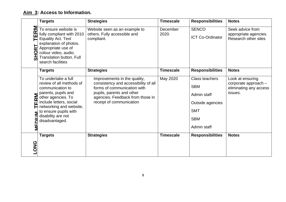### **Aim 3: Access to Information.**

|                            | <b>Targets</b>                                                                                                                                                                                                                          | <b>Strategies</b>                                                                                                                                                                                | <b>Timescale</b>  | <b>Responsibilities</b>                                                                                           | <b>Notes</b>                                                                  |
|----------------------------|-----------------------------------------------------------------------------------------------------------------------------------------------------------------------------------------------------------------------------------------|--------------------------------------------------------------------------------------------------------------------------------------------------------------------------------------------------|-------------------|-------------------------------------------------------------------------------------------------------------------|-------------------------------------------------------------------------------|
| <b>RM</b><br>Щ<br>œ<br>SHO | To ensure website is<br>fully compliant with 2010<br><b>Equality Act. Text</b><br>explanation of photos.<br>Appropriate use of<br>colour video, audio.<br>Translation button. Full<br>search facilities                                 | Website seen as an example to<br>others. Fully accessible and<br>compliant.                                                                                                                      | December<br>2020. | <b>SENCO</b><br>ICT Co-Ordinator                                                                                  | Seek advice from<br>appropriate agencies.<br>Research other sites             |
|                            | <b>Targets</b>                                                                                                                                                                                                                          | <b>Strategies</b>                                                                                                                                                                                | <b>Timescale</b>  | <b>Responsibilities</b>                                                                                           | <b>Notes</b>                                                                  |
| ERM<br>FDILL<br>፮          | To undertake a full<br>review of all methods of<br>communication to<br>parents, pupils and<br>other agencies. To<br>include letters, social<br>networking and website,<br>to ensure pupils with<br>disability are not<br>disadvantaged. | Improvements in the quality,<br>consistency and accessibility of all<br>forms of communication with<br>pupils, parents and other<br>agencies. Feedback from those in<br>receipt of communication | May 2020          | <b>Class teachers</b><br><b>SBM</b><br>Admin staff<br>Outside agencies<br><b>SMT</b><br><b>SBM</b><br>Admin staff | Look at ensuring<br>corporate approach -<br>eliminating any access<br>issues. |
| <b>LONG</b>                | <b>Targets</b>                                                                                                                                                                                                                          | <b>Strategies</b>                                                                                                                                                                                | <b>Timescale</b>  | <b>Responsibilities</b>                                                                                           | <b>Notes</b>                                                                  |